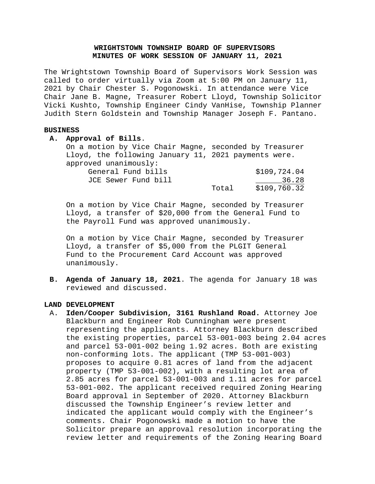# **WRIGHTSTOWN TOWNSHIP BOARD OF SUPERVISORS MINUTES OF WORK SESSION OF JANUARY 11, 2021**

The Wrightstown Township Board of Supervisors Work Session was called to order virtually via Zoom at 5:00 PM on January 11, 2021 by Chair Chester S. Pogonowski. In attendance were Vice Chair Jane B. Magne, Treasurer Robert Lloyd, Township Solicitor Vicki Kushto, Township Engineer Cindy VanHise, Township Planner Judith Stern Goldstein and Township Manager Joseph F. Pantano.

#### **BUSINESS**

**A. Approval of Bills**.

On a motion by Vice Chair Magne, seconded by Treasurer Lloyd, the following January 11, 2021 payments were. approved unanimously:<br>General Fund bil

| General Fund bills  |       | \$109,724.04 |
|---------------------|-------|--------------|
| JCE Sewer Fund bill |       | 36.28        |
|                     | Total | \$109,760.32 |

On a motion by Vice Chair Magne, seconded by Treasurer Lloyd, a transfer of \$20,000 from the General Fund to the Payroll Fund was approved unanimously.

On a motion by Vice Chair Magne, seconded by Treasurer Lloyd, a transfer of \$5,000 from the PLGIT General Fund to the Procurement Card Account was approved unanimously.

**B. Agenda of January 18, 2021**. The agenda for January 18 was reviewed and discussed.

#### **LAND DEVELOPMENT**

A. **Iden/Cooper Subdivision, 3161 Rushland Road.** Attorney Joe Blackburn and Engineer Rob Cunningham were present representing the applicants. Attorney Blackburn described the existing properties, parcel 53-001-003 being 2.04 acres and parcel 53-001-002 being 1.92 acres. Both are existing non-conforming lots. The applicant (TMP 53-001-003) proposes to acquire 0.81 acres of land from the adjacent property (TMP 53-001-002), with a resulting lot area of 2.85 acres for parcel 53-001-003 and 1.11 acres for parcel 53-001-002. The applicant received required Zoning Hearing Board approval in September of 2020. Attorney Blackburn discussed the Township Engineer's review letter and indicated the applicant would comply with the Engineer's comments. Chair Pogonowski made a motion to have the Solicitor prepare an approval resolution incorporating the review letter and requirements of the Zoning Hearing Board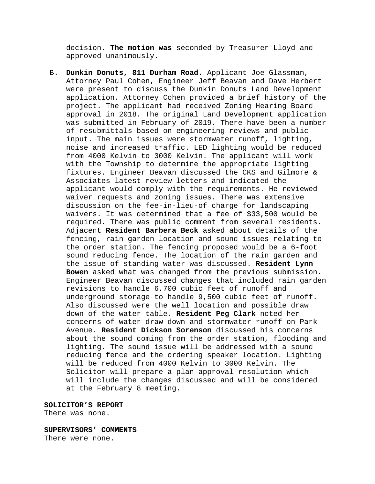decision**. The motion was** seconded by Treasurer Lloyd and approved unanimously.

B. **Dunkin Donuts, 811 Durham Road.** Applicant Joe Glassman, Attorney Paul Cohen, Engineer Jeff Beavan and Dave Herbert were present to discuss the Dunkin Donuts Land Development application. Attorney Cohen provided a brief history of the project. The applicant had received Zoning Hearing Board approval in 2018. The original Land Development application was submitted in February of 2019. There have been a number of resubmittals based on engineering reviews and public input. The main issues were stormwater runoff, lighting, noise and increased traffic. LED lighting would be reduced from 4000 Kelvin to 3000 Kelvin. The applicant will work with the Township to determine the appropriate lighting fixtures. Engineer Beavan discussed the CKS and Gilmore & Associates latest review letters and indicated the applicant would comply with the requirements. He reviewed waiver requests and zoning issues. There was extensive discussion on the fee-in-lieu-of charge for landscaping waivers. It was determined that a fee of \$33,500 would be required. There was public comment from several residents. Adjacent **Resident Barbera Beck** asked about details of the fencing, rain garden location and sound issues relating to the order station. The fencing proposed would be a 6-foot sound reducing fence. The location of the rain garden and the issue of standing water was discussed. **Resident Lynn Bowen** asked what was changed from the previous submission. Engineer Beavan discussed changes that included rain garden revisions to handle 6,700 cubic feet of runoff and underground storage to handle 9,500 cubic feet of runoff. Also discussed were the well location and possible draw down of the water table. **Resident Peg Clark** noted her concerns of water draw down and stormwater runoff on Park Avenue. **Resident Dickson Sorenson** discussed his concerns about the sound coming from the order station, flooding and lighting. The sound issue will be addressed with a sound reducing fence and the ordering speaker location. Lighting will be reduced from 4000 Kelvin to 3000 Kelvin. The Solicitor will prepare a plan approval resolution which will include the changes discussed and will be considered at the February 8 meeting.

**SOLICITOR'S REPORT**

There was none.

**SUPERVISORS' COMMENTS** There were none.